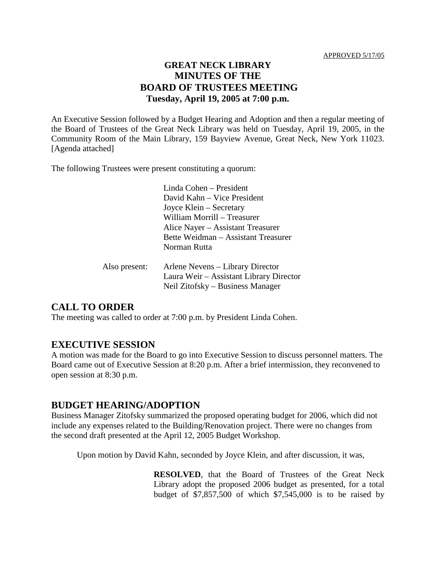## **GREAT NECK LIBRARY MINUTES OF THE BOARD OF TRUSTEES MEETING Tuesday, April 19, 2005 at 7:00 p.m.**

An Executive Session followed by a Budget Hearing and Adoption and then a regular meeting of the Board of Trustees of the Great Neck Library was held on Tuesday, April 19, 2005, in the Community Room of the Main Library, 159 Bayview Avenue, Great Neck, New York 11023. [Agenda attached]

The following Trustees were present constituting a quorum:

Linda Cohen – President David Kahn – Vice President Joyce Klein – Secretary William Morrill – Treasurer Alice Nayer – Assistant Treasurer Bette Weidman – Assistant Treasurer Norman Rutta

| Also present: | Arlene Nevens – Library Director        |
|---------------|-----------------------------------------|
|               | Laura Weir – Assistant Library Director |
|               | Neil Zitofsky – Business Manager        |

# **CALL TO ORDER**

The meeting was called to order at 7:00 p.m. by President Linda Cohen.

## **EXECUTIVE SESSION**

A motion was made for the Board to go into Executive Session to discuss personnel matters. The Board came out of Executive Session at 8:20 p.m. After a brief intermission, they reconvened to open session at 8:30 p.m.

## **BUDGET HEARING/ADOPTION**

Business Manager Zitofsky summarized the proposed operating budget for 2006, which did not include any expenses related to the Building/Renovation project. There were no changes from the second draft presented at the April 12, 2005 Budget Workshop.

Upon motion by David Kahn, seconded by Joyce Klein, and after discussion, it was,

**RESOLVED**, that the Board of Trustees of the Great Neck Library adopt the proposed 2006 budget as presented, for a total budget of \$7,857,500 of which \$7,545,000 is to be raised by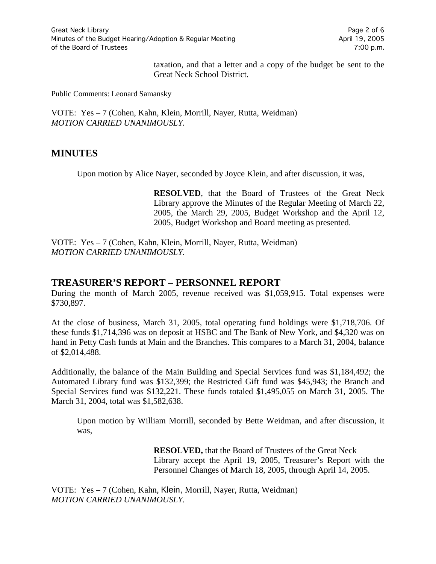taxation, and that a letter and a copy of the budget be sent to the Great Neck School District.

Public Comments: Leonard Samansky

VOTE:Yes – 7 (Cohen, Kahn, Klein, Morrill, Nayer, Rutta, Weidman) *MOTION CARRIED UNANIMOUSLY.*

### **MINUTES**

Upon motion by Alice Nayer, seconded by Joyce Klein, and after discussion, it was,

**RESOLVED**, that the Board of Trustees of the Great Neck Library approve the Minutes of the Regular Meeting of March 22, 2005, the March 29, 2005, Budget Workshop and the April 12, 2005, Budget Workshop and Board meeting as presented.

VOTE:Yes – 7 (Cohen, Kahn, Klein, Morrill, Nayer, Rutta, Weidman) *MOTION CARRIED UNANIMOUSLY.*

#### **TREASURER'S REPORT – PERSONNEL REPORT**

During the month of March 2005, revenue received was \$1,059,915. Total expenses were \$730,897.

At the close of business, March 31, 2005, total operating fund holdings were \$1,718,706. Of these funds \$1,714,396 was on deposit at HSBC and The Bank of New York, and \$4,320 was on hand in Petty Cash funds at Main and the Branches. This compares to a March 31, 2004, balance of \$2,014,488.

Additionally, the balance of the Main Building and Special Services fund was \$1,184,492; the Automated Library fund was \$132,399; the Restricted Gift fund was \$45,943; the Branch and Special Services fund was \$132,221. These funds totaled \$1,495,055 on March 31, 2005. The March 31, 2004, total was \$1,582,638.

Upon motion by William Morrill, seconded by Bette Weidman, and after discussion, it was,

> **RESOLVED,** that the Board of Trustees of the Great Neck Library accept the April 19, 2005, Treasurer's Report with the Personnel Changes of March 18, 2005, through April 14, 2005.

VOTE:Yes – 7 (Cohen, Kahn, Klein, Morrill, Nayer, Rutta, Weidman) *MOTION CARRIED UNANIMOUSLY.*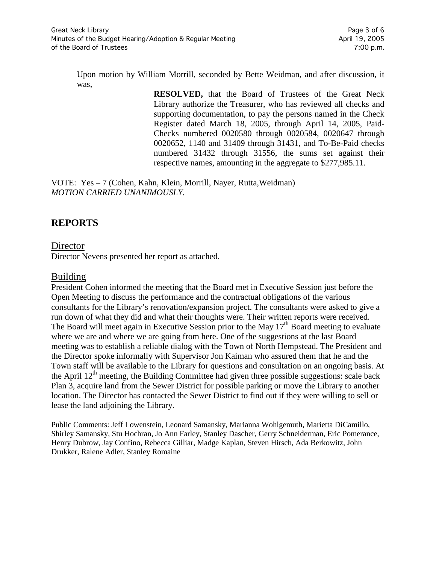Upon motion by William Morrill, seconded by Bette Weidman, and after discussion, it was,

> **RESOLVED,** that the Board of Trustees of the Great Neck Library authorize the Treasurer, who has reviewed all checks and supporting documentation, to pay the persons named in the Check Register dated March 18, 2005, through April 14, 2005, Paid-Checks numbered 0020580 through 0020584, 0020647 through 0020652, 1140 and 31409 through 31431, and To-Be-Paid checks numbered 31432 through 31556, the sums set against their respective names, amounting in the aggregate to \$277,985.11.

VOTE:Yes – 7 (Cohen, Kahn, Klein, Morrill, Nayer, Rutta,Weidman) *MOTION CARRIED UNANIMOUSLY.*

# **REPORTS**

## **Director**

Director Nevens presented her report as attached.

## Building

President Cohen informed the meeting that the Board met in Executive Session just before the Open Meeting to discuss the performance and the contractual obligations of the various consultants for the Library's renovation/expansion project. The consultants were asked to give a run down of what they did and what their thoughts were. Their written reports were received. The Board will meet again in Executive Session prior to the May  $17<sup>th</sup>$  Board meeting to evaluate where we are and where we are going from here. One of the suggestions at the last Board meeting was to establish a reliable dialog with the Town of North Hempstead. The President and the Director spoke informally with Supervisor Jon Kaiman who assured them that he and the Town staff will be available to the Library for questions and consultation on an ongoing basis. At the April  $12<sup>th</sup>$  meeting, the Building Committee had given three possible suggestions: scale back Plan 3, acquire land from the Sewer District for possible parking or move the Library to another location. The Director has contacted the Sewer District to find out if they were willing to sell or lease the land adjoining the Library.

Public Comments: Jeff Lowenstein, Leonard Samansky, Marianna Wohlgemuth, Marietta DiCamillo, Shirley Samansky, Stu Hochran, Jo Ann Farley, Stanley Dascher, Gerry Schneiderman, Eric Pomerance, Henry Dubrow, Jay Confino, Rebecca Gilliar, Madge Kaplan, Steven Hirsch, Ada Berkowitz, John Drukker, Ralene Adler, Stanley Romaine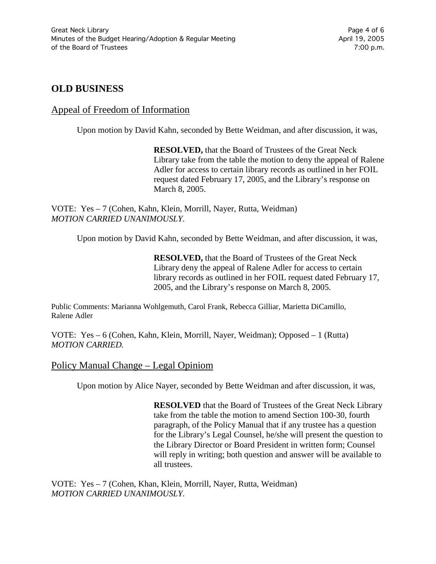## **OLD BUSINESS**

#### Appeal of Freedom of Information

Upon motion by David Kahn, seconded by Bette Weidman, and after discussion, it was,

**RESOLVED,** that the Board of Trustees of the Great Neck Library take from the table the motion to deny the appeal of Ralene Adler for access to certain library records as outlined in her FOIL request dated February 17, 2005, and the Library's response on March 8, 2005.

VOTE:Yes – 7 (Cohen, Kahn, Klein, Morrill, Nayer, Rutta, Weidman) *MOTION CARRIED UNANIMOUSLY.*

Upon motion by David Kahn, seconded by Bette Weidman, and after discussion, it was,

**RESOLVED,** that the Board of Trustees of the Great Neck Library deny the appeal of Ralene Adler for access to certain library records as outlined in her FOIL request dated February 17, 2005, and the Library's response on March 8, 2005.

Public Comments: Marianna Wohlgemuth, Carol Frank, Rebecca Gilliar, Marietta DiCamillo, Ralene Adler

VOTE:Yes – 6 (Cohen, Kahn, Klein, Morrill, Nayer, Weidman); Opposed – 1 (Rutta) *MOTION CARRIED.*

#### Policy Manual Change – Legal Opiniom

Upon motion by Alice Nayer, seconded by Bette Weidman and after discussion, it was,

**RESOLVED** that the Board of Trustees of the Great Neck Library take from the table the motion to amend Section 100-30, fourth paragraph, of the Policy Manual that if any trustee has a question for the Library's Legal Counsel, he/she will present the question to the Library Director or Board President in written form; Counsel will reply in writing; both question and answer will be available to all trustees.

VOTE:Yes – 7 (Cohen, Khan, Klein, Morrill, Nayer, Rutta, Weidman) *MOTION CARRIED UNANIMOUSLY.*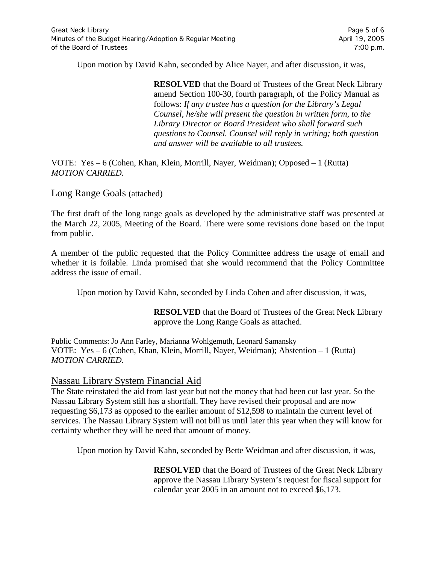Upon motion by David Kahn, seconded by Alice Nayer, and after discussion, it was,

**RESOLVED** that the Board of Trustees of the Great Neck Library amend Section 100-30, fourth paragraph, of the Policy Manual as follows: *If any trustee has a question for the Library's Legal Counsel, he/she will present the question in written form, to the Library Director or Board President who shall forward such questions to Counsel. Counsel will reply in writing; both question and answer will be available to all trustees.*

VOTE:Yes – 6 (Cohen, Khan, Klein, Morrill, Nayer, Weidman); Opposed – 1 (Rutta) *MOTION CARRIED.*

Long Range Goals (attached)

The first draft of the long range goals as developed by the administrative staff was presented at the March 22, 2005, Meeting of the Board. There were some revisions done based on the input from public.

A member of the public requested that the Policy Committee address the usage of email and whether it is foilable. Linda promised that she would recommend that the Policy Committee address the issue of email.

Upon motion by David Kahn, seconded by Linda Cohen and after discussion, it was,

**RESOLVED** that the Board of Trustees of the Great Neck Library approve the Long Range Goals as attached.

Public Comments: Jo Ann Farley, Marianna Wohlgemuth, Leonard Samansky VOTE:Yes – 6 (Cohen, Khan, Klein, Morrill, Nayer, Weidman); Abstention – 1 (Rutta) *MOTION CARRIED.*

### Nassau Library System Financial Aid

The State reinstated the aid from last year but not the money that had been cut last year. So the Nassau Library System still has a shortfall. They have revised their proposal and are now requesting \$6,173 as opposed to the earlier amount of \$12,598 to maintain the current level of services. The Nassau Library System will not bill us until later this year when they will know for certainty whether they will be need that amount of money.

Upon motion by David Kahn, seconded by Bette Weidman and after discussion, it was,

**RESOLVED** that the Board of Trustees of the Great Neck Library approve the Nassau Library System's request for fiscal support for calendar year 2005 in an amount not to exceed \$6,173.